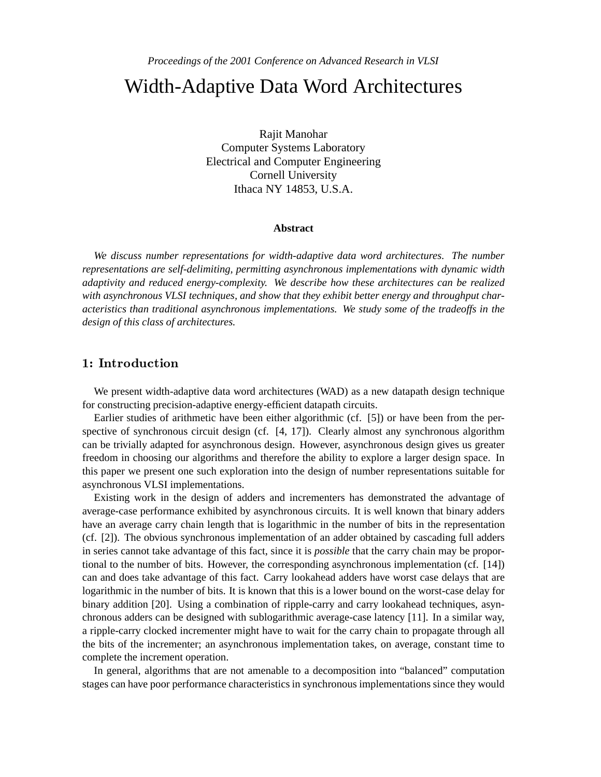# Width-Adaptive Data Word Architectures

Rajit Manohar Computer Systems Laboratory Electrical and Computer Engineering Cornell University Ithaca NY 14853, U.S.A.

#### **Abstract**

*We discuss number representations for width-adaptive data word architectures. The number representations are self-delimiting, permitting asynchronous implementations with dynamic width adaptivity and reduced energy-complexity. We describe how these architectures can be realized with asynchronous VLSI techniques, and show that they exhibit better energy and throughput characteristics than traditional asynchronous implementations. We study some of the tradeoffs in the design of this class of architectures.*

# 1: Introduction

We present width-adaptive data word architectures (WAD) as a new datapath design technique for constructing precision-adaptive energy-efficient datapath circuits.

Earlier studies of arithmetic have been either algorithmic (cf. [5]) or have been from the perspective of synchronous circuit design (cf. [4, 17]). Clearly almost any synchronous algorithm can be trivially adapted for asynchronous design. However, asynchronous design gives us greater freedom in choosing our algorithms and therefore the ability to explore a larger design space. In this paper we present one such exploration into the design of number representations suitable for asynchronous VLSI implementations.

Existing work in the design of adders and incrementers has demonstrated the advantage of average-case performance exhibited by asynchronous circuits. It is well known that binary adders have an average carry chain length that is logarithmic in the number of bits in the representation (cf. [2]). The obvious synchronous implementation of an adder obtained by cascading full adders in series cannot take advantage of this fact, since it is *possible* that the carry chain may be proportional to the number of bits. However, the corresponding asynchronous implementation (cf. [14]) can and does take advantage of this fact. Carry lookahead adders have worst case delays that are logarithmic in the number of bits. It is known that this is a lower bound on the worst-case delay for binary addition [20]. Using a combination of ripple-carry and carry lookahead techniques, asynchronous adders can be designed with sublogarithmic average-case latency [11]. In a similar way, a ripple-carry clocked incrementer might have to wait for the carry chain to propagate through all the bits of the incrementer; an asynchronous implementation takes, on average, constant time to complete the increment operation.

In general, algorithms that are not amenable to a decomposition into "balanced" computation stages can have poor performance characteristics in synchronous implementations since they would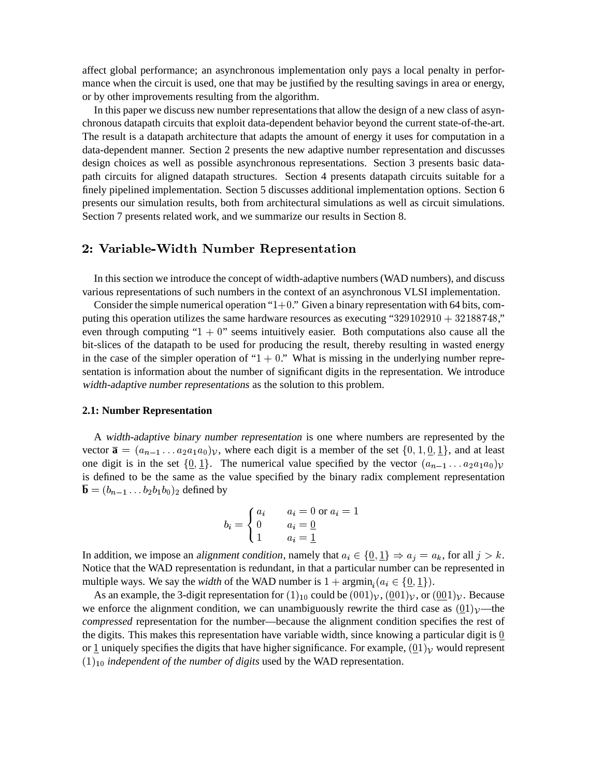affect global performance; an asynchronous implementation only pays a local penalty in performance when the circuit is used, one that may be justified by the resulting savings in area or energy, or by other improvements resulting from the algorithm.

In this paper we discuss new number representations that allow the design of a new class of asynchronous datapath circuits that exploit data-dependent behavior beyond the current state-of-the-art. The result is a datapath architecture that adapts the amount of energy it uses for computation in a data-dependent manner. Section 2 presents the new adaptive number representation and discusses design choices as well as possible asynchronous representations. Section 3 presents basic datapath circuits for aligned datapath structures. Section 4 presents datapath circuits suitable for a finely pipelined implementation. Section 5 discusses additional implementation options. Section 6 presents our simulation results, both from architectural simulations as well as circuit simulations. Section 7 presents related work, and we summarize our results in Section 8.

# -

In this section we introduce the concept of width-adaptive numbers (WAD numbers), and discuss various representations of such numbers in the context of an asynchronous VLSI implementation.

Consider the simple numerical operation " $1+0$ ." Given a binary representation with 64 bits, computing this operation utilizes the same hardware resources as executing " $329102910 + 32188748$ ", even through computing " $1 + 0$ " seems intuitively easier. Both computations also cause all the bit-slices of the datapath to be used for producing the result, thereby resulting in wasted energy in the case of the simpler operation of " $1 + 0$ ." What is missing in the underlying number representation is information about the number of significant digits in the representation. We introduce width-adaptive number representations as the solution to this problem.

#### **2.1: Number Representation**

A width-adaptive binary number representation is one where numbers are represented by the vector  $\overline{\mathbf{a}} = (a_{n-1} \dots a_2 a_1 a_0) \mathbf{v}$ , where each digit is a member of the set  $\{0, 1, \underline{0}, \underline{1}\}$ , and at least one digit is in the set  $\{0, 1\}$ . The numerical value specified by the vector  $(a_{n-1} \dots a_2 a_1 a_0)$ is defined to be the same as the value specified by the binary radix complement representation  $\mathbf{b} = (b_{n-1} \ldots b_2 b_1 b_0)_2$  defined by

$$
b_i = \begin{cases} a_i & a_i = 0 \text{ or } a_i = 1 \\ 0 & a_i = \underline{0} \\ 1 & a_i = \underline{1} \end{cases}
$$

the contract of the contract of the contract of the contract of the contract of the contract of the contract of the contract of the contract of the contract of the contract of the contract of the contract of the contract o

In addition, we impose an alignment condition, namely that  $a_i \in \{0, 1\} \Rightarrow a_j = a_k$ , for all  $j > k$ . Notice that the WAD representation is redundant, in that a particular number can be represented in multiple ways. We say the *width* of the WAD number is  $1 + \operatorname{argmin}_i (a_i \in \{0, 1\})$ .

As an example, the 3-digit representation for  $(1)_{10}$  could be  $(001)<sub>V</sub>, (001)<sub>V</sub>$ , or  $(001)<sub>V</sub>$ . Because we enforce the alignment condition, we can unambiguously rewrite the third case as  $(0,1)$   $\nu$ —the *compressed* representation for the number—because the alignment condition specifies the rest of the digits. This makes this representation have variable width, since knowing a particular digit is  $\underline{0}$ or 1 uniquely specifies the digits that have higher significance. For example,  $(01)_\mathcal{V}$  would represent  $(1)_{10}$  *independent of the number of digits* used by the WAD representation.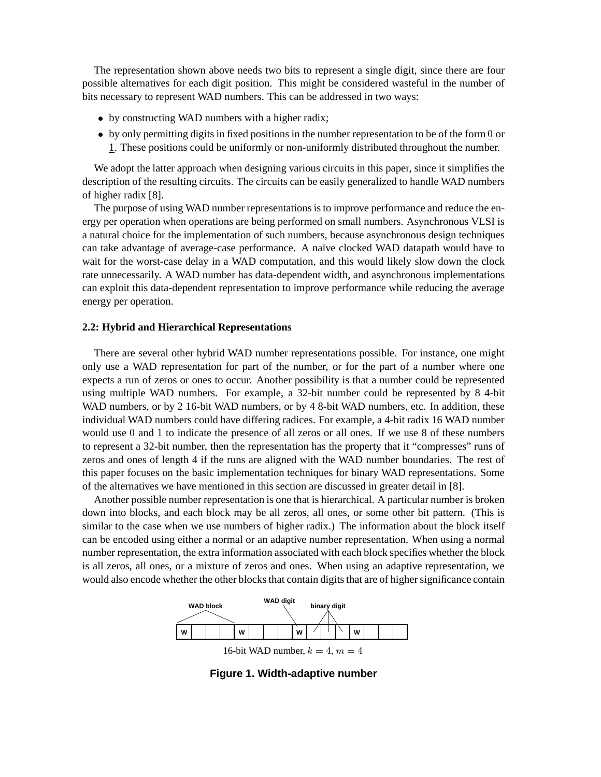The representation shown above needs two bits to represent a single digit, since there are four possible alternatives for each digit position. This might be considered wasteful in the number of bits necessary to represent WAD numbers. This can be addressed in two ways:

- by constructing WAD numbers with a higher radix;
- $\bullet$  by only permitting digits in fixed positions in the number representation to be of the form 0 or . These positions could be uniformly or non-uniformly distributed throughout the number.

We adopt the latter approach when designing various circuits in this paper, since it simplifies the description of the resulting circuits. The circuits can be easily generalized to handle WAD numbers of higher radix [8].

The purpose of using WAD number representations is to improve performance and reduce the energy per operation when operations are being performed on small numbers. Asynchronous VLSI is a natural choice for the implementation of such numbers, because asynchronous design techniques can take advantage of average-case performance. A naïve clocked WAD datapath would have to wait for the worst-case delay in a WAD computation, and this would likely slow down the clock rate unnecessarily. A WAD number has data-dependent width, and asynchronous implementations can exploit this data-dependent representation to improve performance while reducing the average energy per operation.

#### **2.2: Hybrid and Hierarchical Representations**

There are several other hybrid WAD number representations possible. For instance, one might only use a WAD representation for part of the number, or for the part of a number where one expects a run of zeros or ones to occur. Another possibility is that a number could be represented using multiple WAD numbers. For example, a 32-bit number could be represented by 8 4-bit WAD numbers, or by 2 16-bit WAD numbers, or by 4 8-bit WAD numbers, etc. In addition, these individual WAD numbers could have differing radices. For example, a 4-bit radix 16 WAD number would use  $0$  and  $1$  to indicate the presence of all zeros or all ones. If we use  $8$  of these numbers to represent a 32-bit number, then the representation has the property that it "compresses" runs of zeros and ones of length 4 if the runs are aligned with the WAD number boundaries. The rest of this paper focuses on the basic implementation techniques for binary WAD representations. Some of the alternatives we have mentioned in this section are discussed in greater detail in [8].

Another possible number representation is one that is hierarchical. A particular number is broken down into blocks, and each block may be all zeros, all ones, or some other bit pattern. (This is similar to the case when we use numbers of higher radix.) The information about the block itself can be encoded using either a normal or an adaptive number representation. When using a normal number representation, the extra information associated with each block specifies whether the block is all zeros, all ones, or a mixture of zeros and ones. When using an adaptive representation, we would also encode whether the other blocks that contain digits that are of higher significance contain



**Figure 1. Width-adaptive number**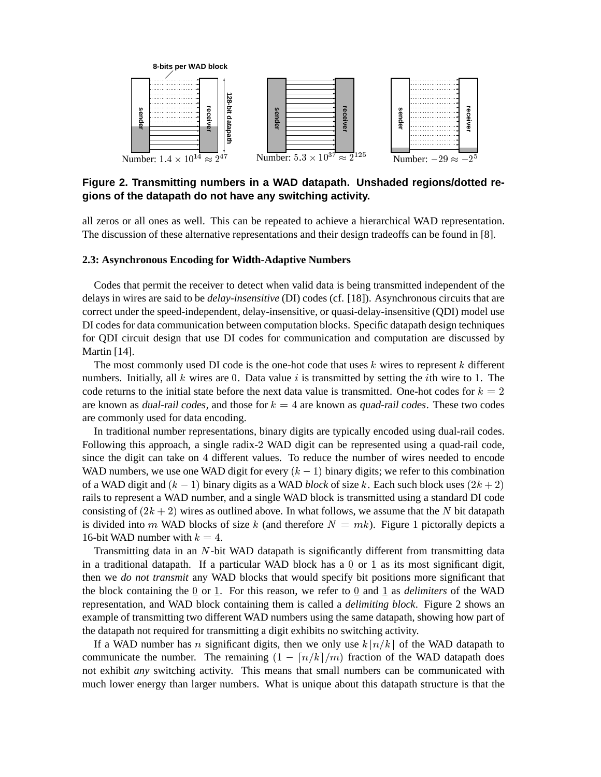

# **Figure 2. Transmitting numbers in a WAD datapath. Unshaded regions/dotted regions of the datapath do not have any switching activity.**

all zeros or all ones as well. This can be repeated to achieve a hierarchical WAD representation. The discussion of these alternative representations and their design tradeoffs can be found in [8].

# **2.3: Asynchronous Encoding for Width-Adaptive Numbers**

Codes that permit the receiver to detect when valid data is being transmitted independent of the delays in wires are said to be *delay-insensitive* (DI) codes (cf. [18]). Asynchronous circuits that are correct under the speed-independent, delay-insensitive, or quasi-delay-insensitive (QDI) model use DI codes for data communication between computation blocks. Specific datapath design techniques for QDI circuit design that use DI codes for communication and computation are discussed by Martin [14].

The most commonly used DI code is the one-hot code that uses  $k$  wires to represent  $k$  different numbers. Initially, all  $k$  wires are 0. Data value  $i$  is transmitted by setting the *i*th wire to 1. The code returns to the initial state before the next data value is transmitted. One-hot codes for  $k = 2$ are known as dual-rail codes, and those for  $k = 4$  are known as quad-rail codes. These two codes are commonly used for data encoding.

In traditional number representations, binary digits are typically encoded using dual-rail codes. Following this approach, a single radix-2 WAD digit can be represented using a quad-rail code, since the digit can take on 4 different values. To reduce the number of wires needed to encode WAD numbers, we use one WAD digit for every  $(k - 1)$  binary digits; we refer to this combination of a WAD digit and  $(k - 1)$  binary digits as a WAD *block* of size k. Each such block uses  $(2k + 2)$  $\blacksquare$ rails to represent a WAD number, and a single WAD block is transmitted using a standard DI code consisting of  $(2k+2)$  wires as outlined above. In what follows, we assume that the N bit datapath is divided into m WAD blocks of size k (and therefore  $N = mk$ ). Figure 1 pictorally depicts a 16-bit WAD number with  $k = 4$ . .

Transmitting data in an  $N$ -bit WAD datapath is significantly different from transmitting data in a traditional datapath. If a particular WAD block has a  $0$  or  $1$  as its most significant digit, then we *do not transmit* any WAD blocks that would specify bit positions more significant that the block containing the  $0$  or  $1$ . For this reason, we refer to  $0$  and  $1$  as *delimiters* of the WAD representation, and WAD block containing them is called a *delimiting block*. Figure 2 shows an example of transmitting two different WAD numbers using the same datapath, showing how part of the datapath not required for transmitting a digit exhibits no switching activity.

If a WAD number has n significant digits, then we only use  $k\lceil n/k \rceil$  of the WAD datapath to communicate the number. The remaining  $(1 - \lceil n/k \rceil/m)$  fraction of the WAD datapath does not exhibit *any* switching activity. This means that small numbers can be communicated with much lower energy than larger numbers. What is unique about this datapath structure is that the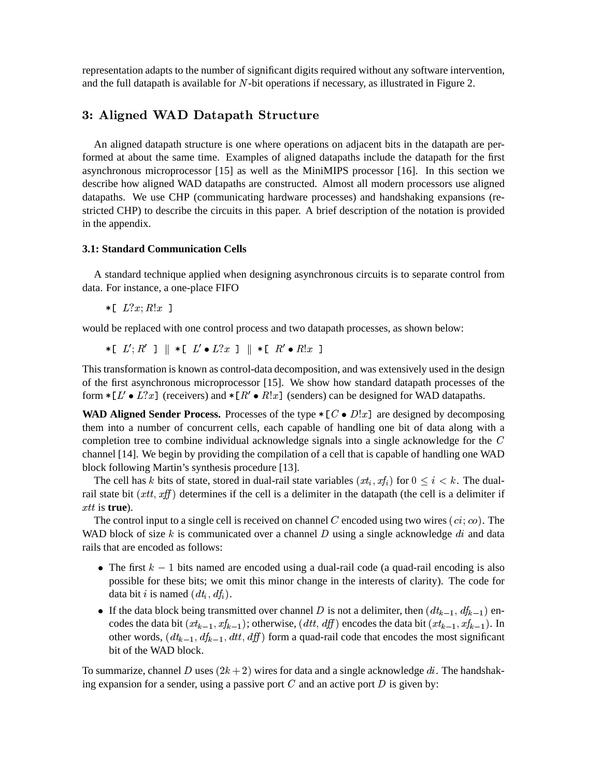representation adapts to the number of significant digits required without any software intervention, and the full datapath is available for  $N$ -bit operations if necessary, as illustrated in Figure 2.

# -

An aligned datapath structure is one where operations on adjacent bits in the datapath are performed at about the same time. Examples of aligned datapaths include the datapath for the first asynchronous microprocessor [15] as well as the MiniMIPS processor [16]. In this section we describe how aligned WAD datapaths are constructed. Almost all modern processors use aligned datapaths. We use CHP (communicating hardware processes) and handshaking expansions (restricted CHP) to describe the circuits in this paper. A brief description of the notation is provided in the appendix.

# **3.1: Standard Communication Cells**

A standard technique applied when designing asynchronous circuits is to separate control from data. For instance, a one-place FIFO

- - the contract of the contract of the contract of the contract of the contract of the contract of the contract of

would be replaced with one control process and two datapath processes, as shown below:

 $\tau$  [  $L$  ;  $R$  ] ||  $\tau$  [  $L$   $\bullet$   $L$  :  $x$  ] ||  $\tau$  [  $R$   $\bullet$   $R$  :  $x$  ] the contract of the contract of the contract of the contract of the contract of the contract of the contract of

This transformation is known as control-data decomposition, and was extensively used in the design of the first asynchronous microprocessor [15]. We show how standard datapath processes of the form  $\ast$  [L'  $\bullet$  L?x] (receivers) and  $\ast$  [R'  $\bullet$  R!x] (senders) can be designed for WAD datapaths.

**WAD Aligned Sender Process.** Processes of the type  $\ast$  [C  $\bullet$  D!x] are designed by decomposing them into a number of concurrent cells, each capable of handling one bit of data along with a completion tree to combine individual acknowledge signals into a single acknowledge for the  $C$ channel [14]. We begin by providing the compilation of a cell that is capable of handling one WAD block following Martin's synthesis procedure [13].

The cell has k bits of state, stored in dual-rail state variables  $(x t_i, x t_i)$  for  $0 \le i \le k$ . The dualrail state bit  $(xtt, xff)$  determines if the cell is a delimiter in the datapath (the cell is a delimiter if  $x$ *tt* is **true**).

The control input to a single cell is received on channel C encoded using two wires  $(ci; co)$ . The WAD block of size  $k$  is communicated over a channel  $D$  using a single acknowledge  $di$  and data rails that are encoded as follows:

- The first  $k 1$  bits named are encoded using a dual-rail code (a quad-rail encoding is also possible for these bits; we omit this minor change in the interests of clarity). The code for data bit *i* is named  $(dt_i, df_i)$ .
- If the data block being transmitted over channel D is not a delimiter, then  $(dt_{k-1}, df_{k-1})$  encodes the data bit  $(x_{k-1}, x_{k-1})$ ; otherwise,  $(dtt, df)$  encodes the data bit  $(x_{k-1}, x_{k-1})$ . In other words,  $(dt_{k-1}, dt_{k-1}, dt, df)$  form a quad-rail code that encodes the most significant bit of the WAD block.

To summarize, channel D uses  $(2k+2)$  wires for data and a single acknowledge  $di$ . The handshaking expansion for a sender, using a passive port  $C$  and an active port  $D$  is given by: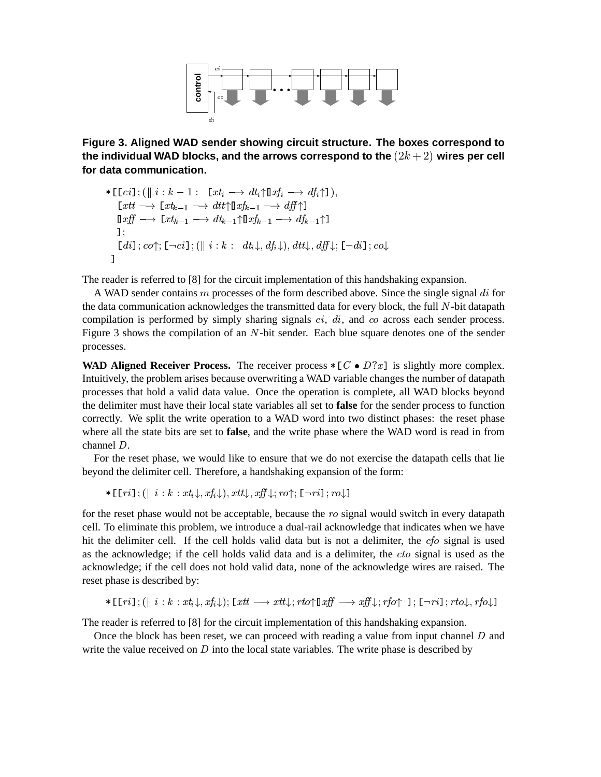

**Figure 3. Aligned WAD sender showing circuit structure. The boxes correspond to** the individual WAD blocks, and the arrows correspond to the  $(2k+2)$  wires per cell **for data communication.**

$$
\begin{array}{l}\n\ast\left[\text{[}ci\text{]};(\parallel i:k-1:\text{[}xt_i\longrightarrow dt_i\uparrow\text{]}xf_i\longrightarrow df_i\uparrow\text{]}),\\
\text{[}xtt\longrightarrow\text{[}xt_{k-1}\longrightarrow dt\text{!}^{\dagger}\text{!}xf_{k-1}\longrightarrow df_i\uparrow\text{]}\\
\text{[}xff\longrightarrow\text{[}xt_{k-1}\longrightarrow dt_{k-1}\uparrow\text{!}xf_{k-1}\longrightarrow df_{k-1}\uparrow\text{]}\\
\text{[};\\
\text{[}di\text{]};co\uparrow;\text{[}-ci\text{]};(\parallel i:k:\text{ }dt_i\downarrow, df_i\downarrow), dt\downarrow, df_i\downarrow;\text{[}-di\text{]}; co\downarrow\\
\text{]}\\
\end{array}
$$

The reader is referred to [8] for the circuit implementation of this handshaking expansion.

A WAD sender contains  $m$  processes of the form described above. Since the single signal  $di$  for the data communication acknowledges the transmitted data for every block, the full  $N$ -bit datapath compilation is performed by simply sharing signals  $ci$ ,  $di$ , and  $co$  across each sender process. Figure 3 shows the compilation of an  $N$ -bit sender. Each blue square denotes one of the sender processes.

**WAD Aligned Receiver Process.** The receiver process  $\ast$  [C  $\bullet$  D?x] is slightly more complex. Intuitively, the problem arises because overwriting a WAD variable changes the number of datapath processes that hold a valid data value. Once the operation is complete, all WAD blocks beyond the delimiter must have their local state variables all set to **false** for the sender process to function correctly. We split the write operation to a WAD word into two distinct phases: the reset phase where all the state bits are set to **false**, and the write phase where the WAD word is read in from channel  $D$ .

For the reset phase, we would like to ensure that we do not exercise the datapath cells that lie beyond the delimiter cell. Therefore, a handshaking expansion of the form:

 $\mathcal{L} = \{ \mathbf{v}_1, \mathbf{v}_2, \mathbf{v}_3, \ldots, \mathbf{v}_N, \mathbf{v}_N, \mathbf{v}_N, \mathbf{v}_N, \mathbf{v}_N, \mathbf{v}_N, \mathbf{v}_N, \ldots, \mathbf{v}_N, \mathbf{v}_N, \mathbf{v}_N, \mathbf{v}_N, \ldots, \mathbf{v}_N, \mathbf{v}_N, \mathbf{v}_N, \ldots, \mathbf{v}_N, \mathbf{v}_N, \mathbf{v}_N, \mathbf{v}_N, \mathbf{v}_N, \mathbf{v}_N, \ldots, \mathbf{v}_N$ 

for the reset phase would not be acceptable, because the  $ro$  signal would switch in every datapath cell. To eliminate this problem, we introduce a dual-rail acknowledge that indicates when we have hit the delimiter cell. If the cell holds valid data but is not a delimiter, the  $cfo$  signal is used as the acknowledge; if the cell holds valid data and is a delimiter, the  $cto$  signal is used as the acknowledge; if the cell does not hold valid data, none of the acknowledge wires are raised. The reset phase is described by:

 $\mathbb{E}[\mathbf{P}_1 \cup \mathbf{P}_2] = \mathbf{P}_1 \cup \mathbf{P}_2 \cup \mathbf{P}_3$  ,  $\mathbf{P}_2 \cup \mathbf{P}_3$  ,  $\mathbf{P}_3$  ,  $\mathbf{P}_4$  ,  $\mathbf{P}_5$  ,  $\mathbf{P}_6$  ,  $\mathbf{P}_7$  ,  $\mathbf{P}_8$  ,  $\mathbf{P}_9$  ,  $\mathbf{P}_9$  ,  $\mathbf{P}_1$  ,  $\mathbf{P}_1$  ,  $\mathbf{P}_2$  ,  $\mathbf{P}_3$  ,  $\$ 

The reader is referred to [8] for the circuit implementation of this handshaking expansion.

Once the block has been reset, we can proceed with reading a value from input channel  $D$  and write the value received on  $D$  into the local state variables. The write phase is described by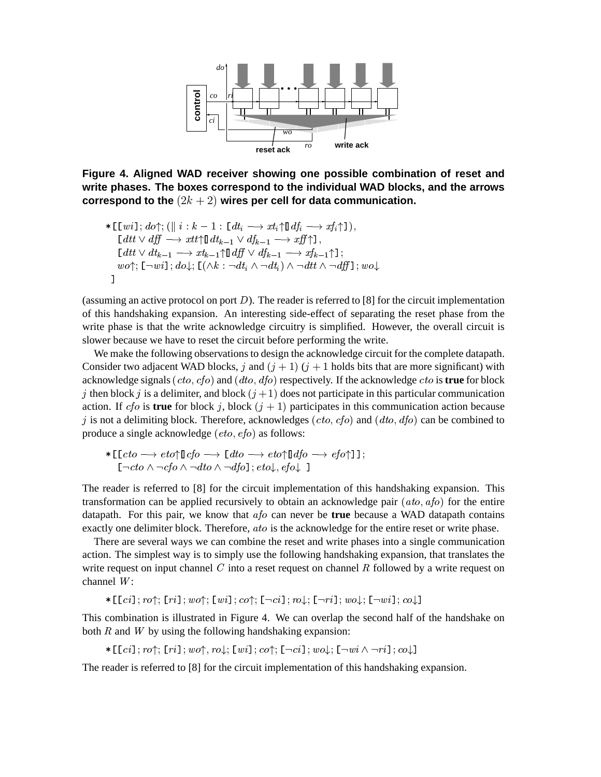

**Figure 4. Aligned WAD receiver showing one possible combination of reset and write phases. The boxes correspond to the individual WAD blocks, and the arrows**  $\mathop{\mathsf{correspond}}$  to the  $(2k+2)$  wires per cell for data communication.

\* 
$$
\begin{array}{l}\n\text{[ } [w i]; d \circ \uparrow; ([\parallel i : k-1 : [ dt_i \longrightarrow xt_i \uparrow \mathbb{I} df_i \longrightarrow xf_i \uparrow ]), \\
\text{[ } dt t \lor df \longrightarrow xt t \uparrow \mathbb{I} dt_{k-1} \lor df_{k-1} \longrightarrow xff \uparrow], \\
\text{[ } dt t \lor dt_{k-1} \longrightarrow xt_{k-1} \uparrow \mathbb{I} df \lor df_{k-1} \longrightarrow xf_{k-1} \uparrow ]; \\
\text{[ } w \circ \uparrow; [\neg wi]; d \circ \downarrow; [\land k : \neg dt_i \land \neg dt_i) \land \neg dt t \land \neg dfj]; \text{[ } w \circ \downarrow\n\end{array}
$$

**一个人的人,我们也不能在这里的人,我们也不能在这里的人,我们也不能在这里的人,我们也不能在这里的人,我们也不能在这里的人,我们也不能在这里**,我们也不能不能在这里

(assuming an active protocol on port  $D$ ). The reader is referred to [8] for the circuit implementation of this handshaking expansion. An interesting side-effect of separating the reset phase from the write phase is that the write acknowledge circuitry is simplified. However, the overall circuit is slower because we have to reset the circuit before performing the write.

We make the following observations to design the acknowledge circuit for the complete datapath. Consider two adjacent WAD blocks, j and  $(j + 1)$   $(j + 1$  holds bits that are more significant) with acknowledge signals  $(cto, cfo)$  and  $(dto, dfo)$  respectively. If the acknowledge  $cto$  is **true** for block j then block j is a delimiter, and block  $(j+1)$  does not participate in this particular communication action. If  $cf$  is **true** for block j, block  $(j + 1)$  participates in this communication action because j is not a delimiting block. Therefore, acknowledges  $(cto, cfo)$  and  $(dto, dfo)$  can be combined to produce a single acknowledge  $(eto, efo)$  as follows:

\*
$$
\begin{array}{l}\n\text{*} \left[ \text{cto } \longrightarrow \text{eto} \uparrow \mathbb{I} \text{ cfo } \longrightarrow \text{ [} \text{ dto } \longrightarrow \text{eto} \uparrow \mathbb{I} \text{ dfo } \longrightarrow \text{ efo} \uparrow \mathbb{I} \right]; \\
\text{[} \neg \text{cto } \land \neg \text{cfo } \land \neg \text{dto } \land \neg \text{dfo} \right]; \text{ eto}\downarrow, \text{ efo}\downarrow \text{ ]}\n\end{array}
$$

The reader is referred to [8] for the circuit implementation of this handshaking expansion. This transformation can be applied recursively to obtain an acknowledge pair  $(ato, afo)$  for the entire datapath. For this pair, we know that  $afo$  can never be **true** because a WAD datapath contains exactly one delimiter block. Therefore, *ato* is the acknowledge for the entire reset or write phase.

There are several ways we can combine the reset and write phases into a single communication action. The simplest way is to simply use the following handshaking expansion, that translates the write request on input channel  $C$  into a reset request on channel  $R$  followed by a write request on channel  $W$ :

```
-
-

   -

   -

  	 -

   -

   -
```
This combination is illustrated in Figure 4. We can overlap the second half of the handshake on both  $R$  and  $W$  by using the following handshaking expansion:

```
. It is a set of the set of the set of the set of the set of the set of the set of the set of the set of the set of \mathcal{S}
```
The reader is referred to [8] for the circuit implementation of this handshaking expansion.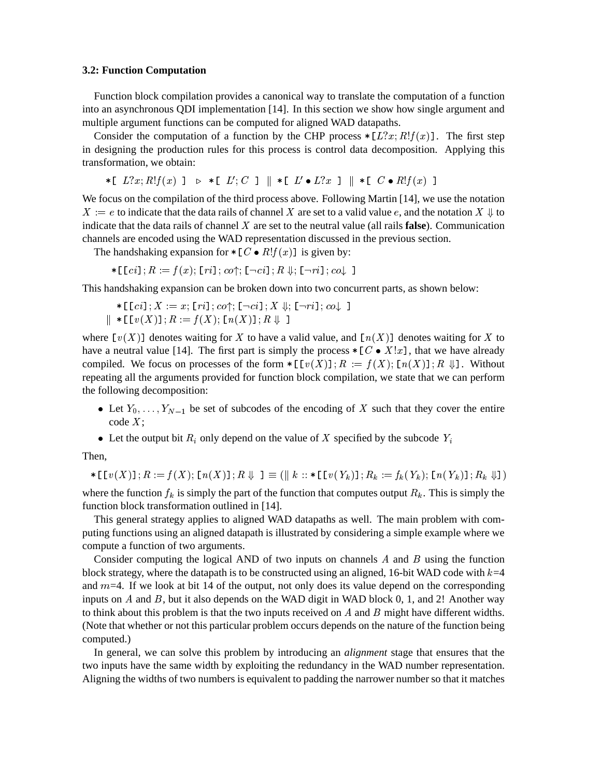#### **3.2: Function Computation**

Function block compilation provides a canonical way to translate the computation of a function into an asynchronous QDI implementation [14]. In this section we show how single argument and multiple argument functions can be computed for aligned WAD datapaths.

Consider the computation of a function by the CHP process  $\ast$  [ $L$ ? $x$ ;  $R$ ! $f(x)$ ]. The first step in designing the production rules for this process is control data decomposition. Applying this transformation, we obtain:

 $\mathcal{F} \left[ L_{\mathcal{I}}(x;R;L)(x) \right] \quad \triangleright \quad \mathcal{F} \left[ L_{\mathcal{I}}(C) \right] \quad \parallel \quad \mathcal{F} \left[ L_{\mathcal{I}} \bullet L; x \right] \quad \parallel \quad \mathcal{F} \left[ L_{\mathcal{I}} \bullet R; L(x) \right] \quad \parallel \quad$ 

We focus on the compilation of the third process above. Following Martin [14], we use the notation  $X := e$  to indicate that the data rails of channel X are set to a valid value e, and the notation  $X \Downarrow$  to indicate that the data rails of channel  $X$  are set to the neutral value (all rails **false**). Communication channels are encoded using the WAD representation discussed in the previous section.

The handshaking expansion for  $\ast$  [C  $\bullet$  R! $f(x)$ ] is given by:

$$
*[[ci]; R := f(x); [ri]; co{\uparrow}; [\neg ci]; R \Downarrow; [\neg ri]; co{\downarrow}]
$$

This handshaking expansion can be broken down into two concurrent parts, as shown below:

$$
* \verb+[[\,ci\,]\,; X:=x;[\,ri\,]\,; co \uparrow; [\,\neg\,ci\,]\,; X \Downarrow; [\,\neg\,ri\,]\,; co \downarrow \,\,]
$$

 --   - 

where  $\lceil v(X) \rceil$  denotes waiting for X to have a valid value, and  $\lceil n(X) \rceil$  denotes waiting for X to have a neutral value [14]. The first part is simply the process  $\ast$  [C  $\bullet$  X!x], that we have already compiled. We focus on processes of the form  $\ast \lbrack \lbrack v(X) \rbrack$ ;  $R := f(X)$ ;  $\lbrack n(X) \rbrack$ ;  $R \Downarrow$ ]. Without repeating all the arguments provided for function block compilation, we state that we can perform the following decomposition:

- Let  $Y_0, \ldots, Y_{N-1}$  be set of subcodes of the encoding of X such that they cover the entire  $code X$ :
- Let the output bit  $R_i$  only depend on the value of X specified by the subcode  $Y_i$

Then,

$$
\ast\mathsf{\Gamma}\mathsf{I}\mathit{v}(\mathit{X})\mathit{]} \, ; R := f(\mathit{X}) ; \, \mathsf{I}\mathit{n}(\mathit{X})\mathit{]} \, ; R \Downarrow\; \mathit{]} \equiv (\mathbin{\|} k :: \ast\mathsf{\Gamma}\mathsf{I}\mathit{v}(\mathit{Y}_k)\mathit{]} \, ; R_k := f_k(\mathit{Y}_k) ; \, \mathsf{I}\mathit{n}(\mathit{Y}_k)\mathit{]} \, ; R_k \Downarrow\!\mathit{]} \, )
$$

where the function  $f_k$  is simply the part of the function that computes output  $R_k$ . This is simply the function block transformation outlined in [14].

This general strategy applies to aligned WAD datapaths as well. The main problem with computing functions using an aligned datapath is illustrated by considering a simple example where we compute a function of two arguments.

Consider computing the logical AND of two inputs on channels  $A$  and  $B$  using the function block strategy, where the datapath is to be constructed using an aligned, 16-bit WAD code with  $k=4$ and  $m=4$ . If we look at bit 14 of the output, not only does its value depend on the corresponding inputs on  $A$  and  $B$ , but it also depends on the WAD digit in WAD block 0, 1, and 2! Another way to think about this problem is that the two inputs received on  $A$  and  $B$  might have different widths. (Note that whether or not this particular problem occurs depends on the nature of the function being computed.)

In general, we can solve this problem by introducing an *alignment* stage that ensures that the two inputs have the same width by exploiting the redundancy in the WAD number representation. Aligning the widths of two numbers is equivalent to padding the narrower number so that it matches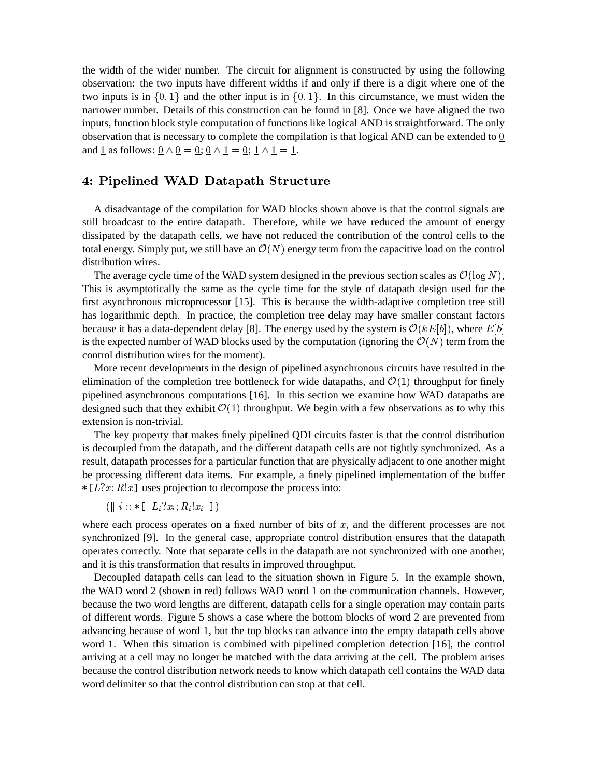the width of the wider number. The circuit for alignment is constructed by using the following observation: the two inputs have different widths if and only if there is a digit where one of the two inputs is in  $\{0, 1\}$  and the other input is in  $\{\underline{0}, \underline{1}\}\$ . In this circumstance, we must widen the narrower number. Details of this construction can be found in [8]. Once we have aligned the two inputs, function block style computation of functions like logical AND is straightforward. The only observation that is necessary to complete the compilation is that logical AND can be extended to and <u>1</u> as follows: <u>0</u>  $\land$  <u>0</u> = <u>0</u>; <u>0</u>  $\land$  <u>1</u> = <u>0</u>; <u>1</u>  $\land$  <u>1</u> = <u>1</u>.  $\overline{1}$ .

# -

A disadvantage of the compilation for WAD blocks shown above is that the control signals are still broadcast to the entire datapath. Therefore, while we have reduced the amount of energy dissipated by the datapath cells, we have not reduced the contribution of the control cells to the total energy. Simply put, we still have an  $\mathcal{O}(N)$  energy term from the capacitive load on the control distribution wires.

The average cycle time of the WAD system designed in the previous section scales as  $\mathcal{O}(\log N)$ , This is asymptotically the same as the cycle time for the style of datapath design used for the first asynchronous microprocessor [15]. This is because the width-adaptive completion tree still has logarithmic depth. In practice, the completion tree delay may have smaller constant factors because it has a data-dependent delay [8]. The energy used by the system is  $\mathcal{O}(kE[b])$ , where  $E[b]$ is the expected number of WAD blocks used by the computation (ignoring the  $\mathcal{O}(N)$ ) term from the control distribution wires for the moment).

More recent developments in the design of pipelined asynchronous circuits have resulted in the elimination of the completion tree bottleneck for wide datapaths, and  $\mathcal{O}(1)$  throughput for finely pipelined asynchronous computations [16]. In this section we examine how WAD datapaths are designed such that they exhibit  $\mathcal{O}(1)$  throughput. We begin with a few observations as to why this extension is non-trivial.

The key property that makes finely pipelined QDI circuits faster is that the control distribution is decoupled from the datapath, and the different datapath cells are not tightly synchronized. As a result, datapath processes for a particular function that are physically adjacent to one another might be processing different data items. For example, a finely pipelined implementation of the buffer  $\ast$  [*L*?*x*; *R*!*x*] uses projection to decompose the process into:

$$
(\parallel i :: * \llbracket L_i?x_i; R_i!x_i \rrbracket)
$$

where each process operates on a fixed number of bits of  $x$ , and the different processes are not synchronized [9]. In the general case, appropriate control distribution ensures that the datapath operates correctly. Note that separate cells in the datapath are not synchronized with one another, and it is this transformation that results in improved throughput.

Decoupled datapath cells can lead to the situation shown in Figure 5. In the example shown, the WAD word 2 (shown in red) follows WAD word 1 on the communication channels. However, because the two word lengths are different, datapath cells for a single operation may contain parts of different words. Figure 5 shows a case where the bottom blocks of word 2 are prevented from advancing because of word 1, but the top blocks can advance into the empty datapath cells above word 1. When this situation is combined with pipelined completion detection [16], the control arriving at a cell may no longer be matched with the data arriving at the cell. The problem arises because the control distribution network needs to know which datapath cell contains the WAD data word delimiter so that the control distribution can stop at that cell.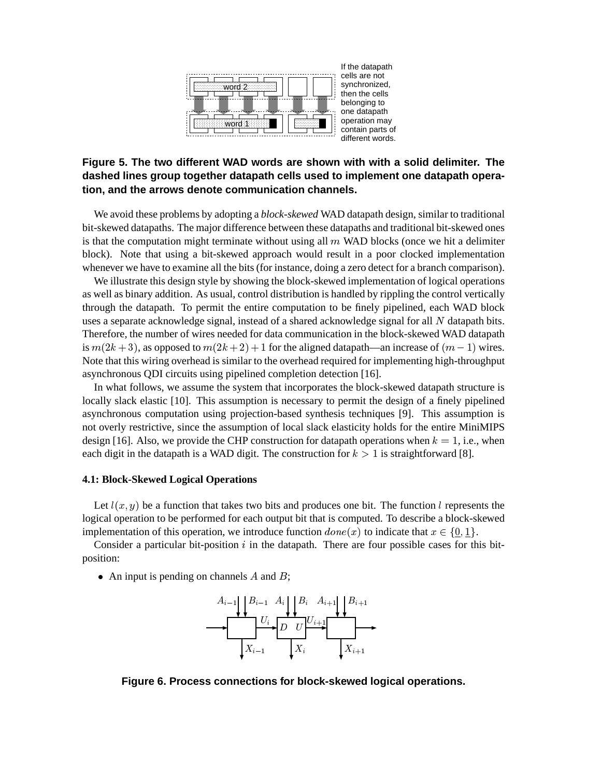

# **Figure 5. The two different WAD words are shown with with a solid delimiter. The dashed lines group together datapath cells used to implement one datapath operation, and the arrows denote communication channels.**

We avoid these problems by adopting a *block-skewed* WAD datapath design, similar to traditional bit-skewed datapaths. The major difference between these datapaths and traditional bit-skewed ones is that the computation might terminate without using all  $m$  WAD blocks (once we hit a delimiter block). Note that using a bit-skewed approach would result in a poor clocked implementation whenever we have to examine all the bits (for instance, doing a zero detect for a branch comparison).

We illustrate this design style by showing the block-skewed implementation of logical operations as well as binary addition. As usual, control distribution is handled by rippling the control vertically through the datapath. To permit the entire computation to be finely pipelined, each WAD block uses a separate acknowledge signal, instead of a shared acknowledge signal for all  $N$  datapath bits. Therefore, the number of wires needed for data communication in the block-skewed WAD datapath is  $m(2k+3)$ , as opposed to  $m(2k+2)+1$  for the aligned datapath—an increase of  $(m-1)$  wires. Note that this wiring overhead is similar to the overhead required for implementing high-throughput asynchronous QDI circuits using pipelined completion detection [16].

In what follows, we assume the system that incorporates the block-skewed datapath structure is locally slack elastic [10]. This assumption is necessary to permit the design of a finely pipelined asynchronous computation using projection-based synthesis techniques [9]. This assumption is not overly restrictive, since the assumption of local slack elasticity holds for the entire MiniMIPS design [16]. Also, we provide the CHP construction for datapath operations when  $k = 1$ , i.e., when each digit in the datapath is a WAD digit. The construction for  $k > 1$  is straightforward [8].

#### **4.1: Block-Skewed Logical Operations**

Let  $l(x, y)$  be a function that takes two bits and produces one bit. The function l represents the logical operation to be performed for each output bit that is computed. To describe a block-skewed implementation of this operation, we introduce function  $done(x)$  to indicate that  $x \in \{0, 1\}$ .

Consider a particular bit-position  $i$  in the datapath. There are four possible cases for this bitposition:

• An input is pending on channels  $A$  and  $B$ ;



**Figure 6. Process connections for block-skewed logical operations.**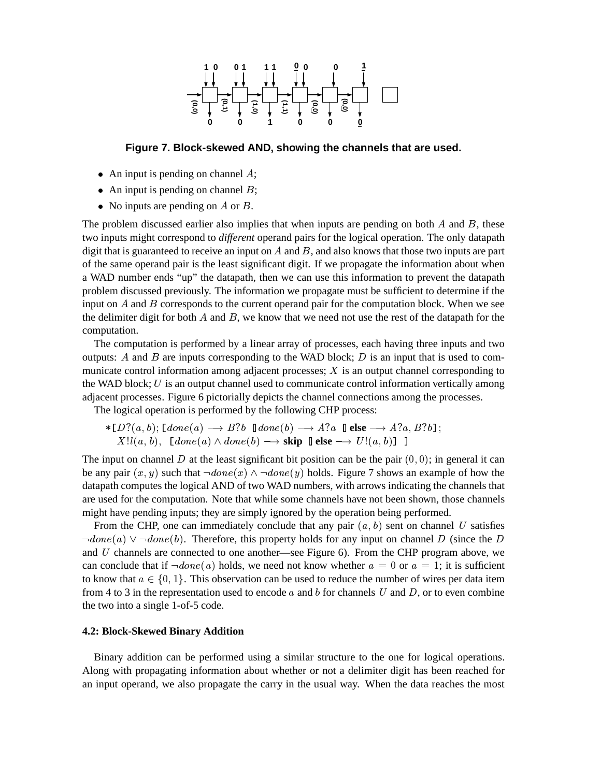

**Figure 7. Block-skewed AND, showing the channels that are used.**

- An input is pending on channel  $\ddot{A}$ ;
- An input is pending on channel  $B$ ;
- No inputs are pending on A or B.

The problem discussed earlier also implies that when inputs are pending on both  $A$  and  $B$ , these two inputs might correspond to *different* operand pairs for the logical operation. The only datapath digit that is guaranteed to receive an input on  $A$  and  $B$ , and also knows that those two inputs are part of the same operand pair is the least significant digit. If we propagate the information about when a WAD number ends "up" the datapath, then we can use this information to prevent the datapath problem discussed previously. The information we propagate must be sufficient to determine if the input on  $A$  and  $B$  corresponds to the current operand pair for the computation block. When we see the delimiter digit for both  $A$  and  $B$ , we know that we need not use the rest of the datapath for the computation.

The computation is performed by a linear array of processes, each having three inputs and two outputs: A and B are inputs corresponding to the WAD block;  $D$  is an input that is used to communicate control information among adjacent processes;  $X$  is an output channel corresponding to the WAD block;  $U$  is an output channel used to communicate control information vertically among adjacent processes. Figure 6 pictorially depicts the channel connections among the processes.

The logical operation is performed by the following CHP process:

 $\ast$  [D?(a, b); [done(a)  $\longrightarrow B$ ?b  $\blacksquare$ done(b)  $\longrightarrow A$ ?a  $\blacksquare$ **else**  $\longrightarrow A$ ?a, B?b];  $X!l(a, b)$ ,  $\lceil done(a) \wedge done(b) \longrightarrow$ **skip**  $\lceil \mathbf{else} \longrightarrow U! (a, b) \rceil$  ]

The input on channel D at the least significant bit position can be the pair  $(0, 0)$ ; in general it can be any pair  $(x, y)$  such that  $\neg done(x) \wedge \neg done(y)$  holds. Figure 7 shows an example of how the datapath computes the logical AND of two WAD numbers, with arrows indicating the channels that are used for the computation. Note that while some channels have not been shown, those channels might have pending inputs; they are simply ignored by the operation being performed.

From the CHP, one can immediately conclude that any pair  $(a, b)$  sent on channel U satisfies  $\neg done(a) \vee \neg done(b)$ . Therefore, this property holds for any input on channel D (since the D) and  $U$  channels are connected to one another—see Figure 6). From the CHP program above, we can conclude that if  $\neg done(a)$  holds, we need not know whether  $a = 0$  or  $a = 1$ ; it is sufficient to know that  $a \in \{0, 1\}$ . This observation can be used to reduce the number of wires per data item from 4 to 3 in the representation used to encode  $a$  and  $b$  for channels U and D, or to even combine the two into a single 1-of-5 code.

## **4.2: Block-Skewed Binary Addition**

Binary addition can be performed using a similar structure to the one for logical operations. Along with propagating information about whether or not a delimiter digit has been reached for an input operand, we also propagate the carry in the usual way. When the data reaches the most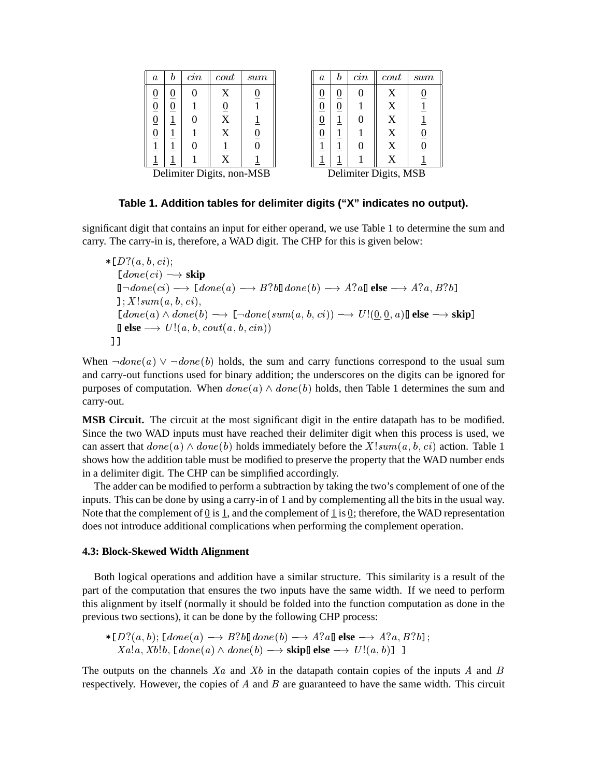| $\it a$<br>n                     | $\,cm$ | $_{\it{cout}}$     | sum            |
|----------------------------------|--------|--------------------|----------------|
| $\overline{0}$<br><u>0</u>       | 0      | X                  | $\overline{0}$ |
| $\overline{0}$<br>$\overline{0}$ |        | $\frac{0}{X}$      |                |
| $\overline{0}$                   | 0      |                    | Ī              |
| $\overline{0}$<br>T              |        | X                  | $\overline{0}$ |
| <u>1</u>                         | 0      |                    | $\overline{0}$ |
|                                  |        | $\bar{\textbf{x}}$ |                |

| $\it a$        |                  | $\emph{cin}$      | $_{\it{cout}}$ | sum            |
|----------------|------------------|-------------------|----------------|----------------|
| $\overline{0}$ | <u>()</u>        |                   | X              | $\overline{0}$ |
| $\overline{0}$ | $\boldsymbol{0}$ |                   | X              |                |
| $\overline{0}$ |                  | 0                 | X              | Ī              |
| $\overline{0}$ |                  |                   | X              | $\frac{0}{0}$  |
| $\overline{1}$ |                  | 0                 | X              |                |
|                |                  |                   | $\overline{X}$ |                |
|                |                  | Dallastean Diatea |                | <b>MCD</b>     |

| Delimiter Digits, non-MSB |  | Delimiter Digits, MSB |
|---------------------------|--|-----------------------|
|                           |  |                       |

# **Table 1. Addition tables for delimiter digits ("X" indicates no output).**

significant digit that contains an input for either operand, we use Table 1 to determine the sum and carry. The carry-in is, therefore, a WAD digit. The CHP for this is given below:

-   $\Box$  done  $\left( ci\right) \longrightarrow$  **skip**  $\mathbb{I} \neg done(ci) \longrightarrow \mathbb{I} \text{ } done(a) \longrightarrow B?b \mathbb{I} \text{ } done(b) \longrightarrow A?a \mathbb{I} \text{ } \textbf{else} \longrightarrow A?a, B?b$   $Idone(a) \wedge done(b) \longrightarrow \Box \neg done(sum(a, b, ci)) \longrightarrow U!(\underline{0}, \underline{0}, a) \mathbb{I}$  else  $\longrightarrow$  skip]  $\mathbf{Q}$  **else**  $\longrightarrow U!(a, b, \mathit{cout}(a, b, \mathit{cin}))$ 

When  $\neg done(a) \lor \neg done(b)$  holds, the sum and carry functions correspond to the usual sum and carry-out functions used for binary addition; the underscores on the digits can be ignored for purposes of computation. When  $done(a) \wedge done(b)$  holds, then Table 1 determines the sum and carry-out.

**MSB Circuit.** The circuit at the most significant digit in the entire datapath has to be modified. Since the two WAD inputs must have reached their delimiter digit when this process is used, we can assert that  $done(a) \wedge done(b)$  holds immediately before the  $X!sum(a, b, ci)$  action. Table 1 shows how the addition table must be modified to preserve the property that the WAD number ends in a delimiter digit. The CHP can be simplified accordingly.

The adder can be modified to perform a subtraction by taking the two's complement of one of the inputs. This can be done by using a carry-in of 1 and by complementing all the bits in the usual way. Note that the complement of  $\underline{0}$  is  $\underline{1}$ , and the complement of  $\underline{1}$  is  $\underline{0}$ ; therefore, the WAD representation does not introduce additional complications when performing the complement operation.

#### **4.3: Block-Skewed Width Alignment**

Both logical operations and addition have a similar structure. This similarity is a result of the part of the computation that ensures the two inputs have the same width. If we need to perform this alignment by itself (normally it should be folded into the function computation as done in the previous two sections), it can be done by the following CHP process:

 $\ast$  [D?(a, b); [done(a)  $\longrightarrow B$ ?b]]done(b)  $\longrightarrow A$ ?a]]**else**  $\longrightarrow A$ ?a, B?b];  $Xa!a, Xb!b, [done(a) \wedge done(b) \longrightarrow \textbf{skip}[]$  **else**  $\longrightarrow U!(a, b)$ ] ]

The outputs on the channels  $X_a$  and  $X_b$  in the datapath contain copies of the inputs A and B respectively. However, the copies of  $A$  and  $B$  are guaranteed to have the same width. This circuit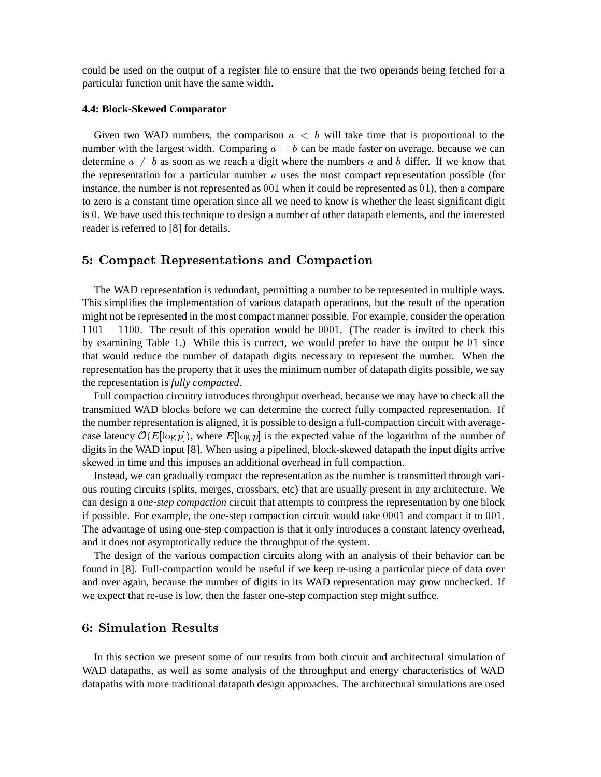could be used on the output of a register file to ensure that the two operands being fetched for a particular function unit have the same width.

#### **4.4: Block-Skewed Comparator**

Given two WAD numbers, the comparison  $a < b$  will take time that is proportional to the number with the largest width. Comparing  $a = b$  can be made faster on average, because we can determine  $a \neq b$  as soon as we reach a digit where the numbers a and b differ. If we know that the representation for a particular number  $a$  uses the most compact representation possible (for instance, the number is not represented as  $001$  when it could be represented as  $01$ ), then a compare to zero is a constant time operation since all we need to know is whether the least significant digit is 0. We have used this technique to design a number of other datapath elements, and the interested reader is referred to [8] for details.

### !- " "

The WAD representation is redundant, permitting a number to be represented in multiple ways. This simplifies the implementation of various datapath operations, but the result of the operation might not be represented in the most compact manner possible. For example, consider the operation  $1101 - 1100$ . The result of this operation would be 0001. (The reader is invited to check this by examining Table 1.) While this is correct, we would prefer to have the output be  $01$  since that would reduce the number of datapath digits necessary to represent the number. When the representation has the property that it uses the minimum number of datapath digits possible, we say the representation is *fully compacted*.

Full compaction circuitry introduces throughput overhead, because we may have to check all the transmitted WAD blocks before we can determine the correct fully compacted representation. If the number representation is aligned, it is possible to design a full-compaction circuit with averagecase latency  $\mathcal{O}(E[\log p])$ , where  $E[\log p]$  is the expected value of the logarithm of the number of digits in the WAD input [8]. When using a pipelined, block-skewed datapath the input digits arrive skewed in time and this imposes an additional overhead in full compaction.

Instead, we can gradually compact the representation as the number is transmitted through various routing circuits (splits, merges, crossbars, etc) that are usually present in any architecture. We can design a *one-step compaction* circuit that attempts to compress the representation by one block if possible. For example, the one-step compaction circuit would take  $0001$  and compact it to  $001$ . The advantage of using one-step compaction is that it only introduces a constant latency overhead, and it does not asymptotically reduce the throughput of the system.

The design of the various compaction circuits along with an analysis of their behavior can be found in [8]. Full-compaction would be useful if we keep re-using a particular piece of data over and over again, because the number of digits in its WAD representation may grow unchecked. If we expect that re-use is low, then the faster one-step compaction step might suffice.

In this section we present some of our results from both circuit and architectural simulation of WAD datapaths, as well as some analysis of the throughput and energy characteristics of WAD datapaths with more traditional datapath design approaches. The architectural simulations are used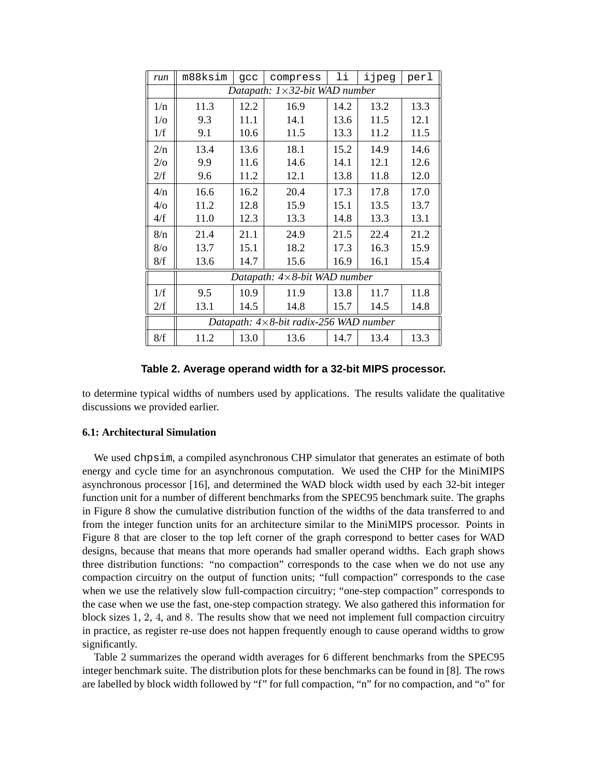| run          | m88ksim                                          | gcc  | compress | li   | ijpeg | perl |  |
|--------------|--------------------------------------------------|------|----------|------|-------|------|--|
|              | Datapath: $1 \times 32$ -bit WAD number          |      |          |      |       |      |  |
| 1/n          | 11.3                                             | 12.2 | 16.9     | 14.2 | 13.2  | 13.3 |  |
| $1/\sigma$   | 9.3                                              | 11.1 | 14.1     | 13.6 | 11.5  | 12.1 |  |
| 1/f          | 9.1                                              | 10.6 | 11.5     | 13.3 | 11.2  | 11.5 |  |
| 2/n          | 13.4                                             | 13.6 | 18.1     | 15.2 | 14.9  | 14.6 |  |
| $2/\sigma$   | 9.9                                              | 11.6 | 14.6     | 14.1 | 12.1  | 12.6 |  |
| 2/f          | 9.6                                              | 11.2 | 12.1     | 13.8 | 11.8  | 12.0 |  |
| 4/n          | 16.6                                             | 16.2 | 20.4     | 17.3 | 17.8  | 17.0 |  |
| 4/0          | 11.2                                             | 12.8 | 15.9     | 15.1 | 13.5  | 13.7 |  |
| 4/f          | 11.0                                             | 12.3 | 13.3     | 14.8 | 13.3  | 13.1 |  |
| 8/n          | 21.4                                             | 21.1 | 24.9     | 21.5 | 22.4  | 21.2 |  |
| $8/\text{o}$ | 13.7                                             | 15.1 | 18.2     | 17.3 | 16.3  | 15.9 |  |
| 8/f          | 13.6                                             | 14.7 | 15.6     | 16.9 | 16.1  | 15.4 |  |
|              | Datapath: $4 \times 8$ -bit WAD number           |      |          |      |       |      |  |
| 1/f          | 9.5                                              | 10.9 | 11.9     | 13.8 | 11.7  | 11.8 |  |
| 2/f          | 13.1                                             | 14.5 | 14.8     | 15.7 | 14.5  | 14.8 |  |
|              | Datapath: $4 \times 8$ -bit radix-256 WAD number |      |          |      |       |      |  |
| 8/f          | 11.2                                             | 13.0 | 13.6     | 14.7 | 13.4  | 13.3 |  |

# **Table 2. Average operand width for a 32-bit MIPS processor.**

to determine typical widths of numbers used by applications. The results validate the qualitative discussions we provided earlier.

### **6.1: Architectural Simulation**

We used chpsim, a compiled asynchronous CHP simulator that generates an estimate of both energy and cycle time for an asynchronous computation. We used the CHP for the MiniMIPS asynchronous processor [16], and determined the WAD block width used by each 32-bit integer function unit for a number of different benchmarks from the SPEC95 benchmark suite. The graphs in Figure 8 show the cumulative distribution function of the widths of the data transferred to and from the integer function units for an architecture similar to the MiniMIPS processor. Points in Figure 8 that are closer to the top left corner of the graph correspond to better cases for WAD designs, because that means that more operands had smaller operand widths. Each graph shows three distribution functions: "no compaction" corresponds to the case when we do not use any compaction circuitry on the output of function units; "full compaction" corresponds to the case when we use the relatively slow full-compaction circuitry; "one-step compaction" corresponds to the case when we use the fast, one-step compaction strategy. We also gathered this information for block sizes  $1, 2, 4$ , and  $8$ . The results show that we need not implement full compaction circuitry in practice, as register re-use does not happen frequently enough to cause operand widths to grow significantly.

Table 2 summarizes the operand width averages for 6 different benchmarks from the SPEC95 integer benchmark suite. The distribution plots for these benchmarks can be found in [8]. The rows are labelled by block width followed by "f" for full compaction, "n" for no compaction, and "o" for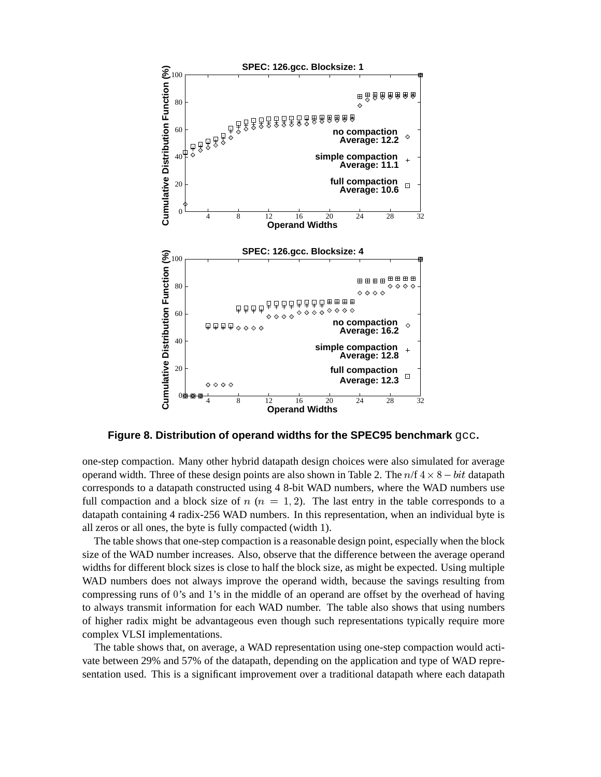

**Figure 8. Distribution of operand widths for the SPEC95 benchmark** gcc**.**

one-step compaction. Many other hybrid datapath design choices were also simulated for average operand width. Three of these design points are also shown in Table 2. The  $n/f \frac{4 \times 8 - bit}{datapath}$ corresponds to a datapath constructed using 4 8-bit WAD numbers, where the WAD numbers use full compaction and a block size of  $n (n = 1, 2)$ . The last entry in the table corresponds to a datapath containing 4 radix-256 WAD numbers. In this representation, when an individual byte is all zeros or all ones, the byte is fully compacted (width 1).

The table shows that one-step compaction is a reasonable design point, especially when the block size of the WAD number increases. Also, observe that the difference between the average operand widths for different block sizes is close to half the block size, as might be expected. Using multiple WAD numbers does not always improve the operand width, because the savings resulting from compressing runs of 0's and 1's in the middle of an operand are offset by the overhead of having to always transmit information for each WAD number. The table also shows that using numbers of higher radix might be advantageous even though such representations typically require more complex VLSI implementations.

The table shows that, on average, a WAD representation using one-step compaction would activate between 29% and 57% of the datapath, depending on the application and type of WAD representation used. This is a significant improvement over a traditional datapath where each datapath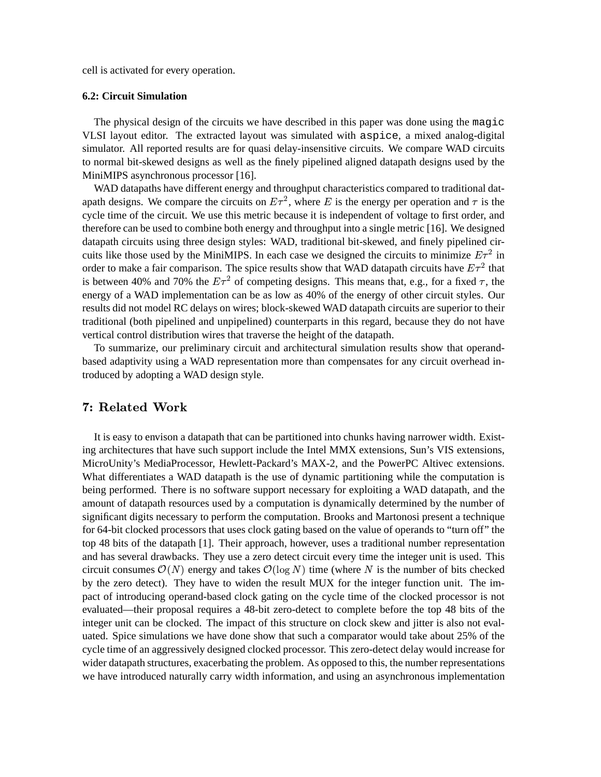cell is activated for every operation.

## **6.2: Circuit Simulation**

The physical design of the circuits we have described in this paper was done using the magic VLSI layout editor. The extracted layout was simulated with aspice, a mixed analog-digital simulator. All reported results are for quasi delay-insensitive circuits. We compare WAD circuits to normal bit-skewed designs as well as the finely pipelined aligned datapath designs used by the MiniMIPS asynchronous processor [16].

WAD datapaths have different energy and throughput characteristics compared to traditional datapath designs. We compare the circuits on  $E\tau^2$ , where E is the energy per operation and  $\tau$  is the cycle time of the circuit. We use this metric because it is independent of voltage to first order, and therefore can be used to combine both energy and throughput into a single metric [16]. We designed datapath circuits using three design styles: WAD, traditional bit-skewed, and finely pipelined circuits like those used by the MiniMIPS. In each case we designed the circuits to minimize  $E \tau^2$  in order to make a fair comparison. The spice results show that WAD datapath circuits have  $E \tau^2$  that is between 40% and 70% the  $E \tau^2$  of competing designs. This means that, e.g., for a fixed  $\tau$ , the energy of a WAD implementation can be as low as 40% of the energy of other circuit styles. Our results did not model RC delays on wires; block-skewed WAD datapath circuits are superior to their traditional (both pipelined and unpipelined) counterparts in this regard, because they do not have vertical control distribution wires that traverse the height of the datapath.

To summarize, our preliminary circuit and architectural simulation results show that operandbased adaptivity using a WAD representation more than compensates for any circuit overhead introduced by adopting a WAD design style.

It is easy to envison a datapath that can be partitioned into chunks having narrower width. Existing architectures that have such support include the Intel MMX extensions, Sun's VIS extensions, MicroUnity's MediaProcessor, Hewlett-Packard's MAX-2, and the PowerPC Altivec extensions. What differentiates a WAD datapath is the use of dynamic partitioning while the computation is being performed. There is no software support necessary for exploiting a WAD datapath, and the amount of datapath resources used by a computation is dynamically determined by the number of significant digits necessary to perform the computation. Brooks and Martonosi present a technique for 64-bit clocked processors that uses clock gating based on the value of operands to "turn off" the top 48 bits of the datapath [1]. Their approach, however, uses a traditional number representation and has several drawbacks. They use a zero detect circuit every time the integer unit is used. This circuit consumes  $\mathcal{O}(N)$  energy and takes  $\mathcal{O}(\log N)$  time (where N is the number of bits checked by the zero detect). They have to widen the result MUX for the integer function unit. The impact of introducing operand-based clock gating on the cycle time of the clocked processor is not evaluated—their proposal requires a 48-bit zero-detect to complete before the top 48 bits of the integer unit can be clocked. The impact of this structure on clock skew and jitter is also not evaluated. Spice simulations we have done show that such a comparator would take about 25% of the cycle time of an aggressively designed clocked processor. This zero-detect delay would increase for wider datapath structures, exacerbating the problem. As opposed to this, the number representations we have introduced naturally carry width information, and using an asynchronous implementation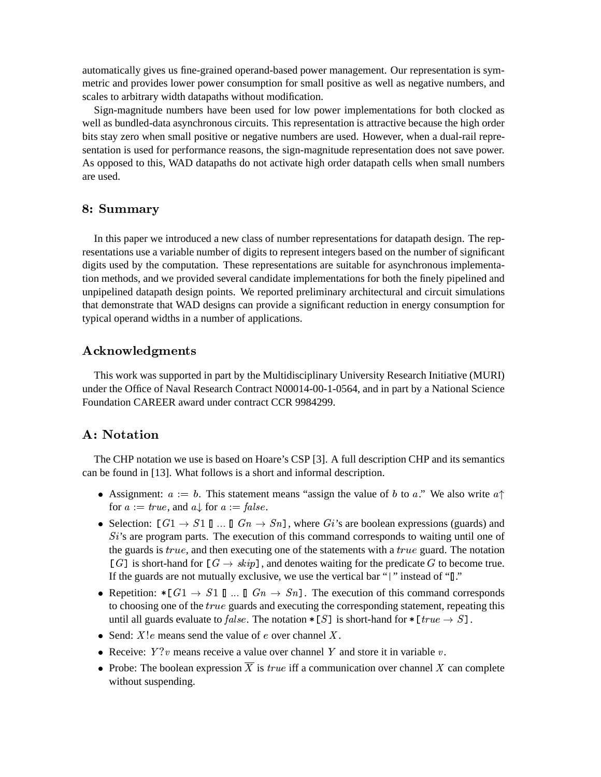automatically gives us fine-grained operand-based power management. Our representation is symmetric and provides lower power consumption for small positive as well as negative numbers, and scales to arbitrary width datapaths without modification.

Sign-magnitude numbers have been used for low power implementations for both clocked as well as bundled-data asynchronous circuits. This representation is attractive because the high order bits stay zero when small positive or negative numbers are used. However, when a dual-rail representation is used for performance reasons, the sign-magnitude representation does not save power. As opposed to this, WAD datapaths do not activate high order datapath cells when small numbers are used.

# 8: Summary

In this paper we introduced a new class of number representations for datapath design. The representations use a variable number of digits to represent integers based on the number of significant digits used by the computation. These representations are suitable for asynchronous implementation methods, and we provided several candidate implementations for both the finely pipelined and unpipelined datapath design points. We reported preliminary architectural and circuit simulations that demonstrate that WAD designs can provide a significant reduction in energy consumption for typical operand widths in a number of applications.

# $\mathcal{L}(\mathcal{L}(\mathcal{L}))$  , and the contract of the contract of the contract of the contract of the contract of the contract of the contract of the contract of the contract of the contract of the contract of the contract of th

This work was supported in part by the Multidisciplinary University Research Initiative (MURI) under the Office of Naval Research Contract N00014-00-1-0564, and in part by a National Science Foundation CAREER award under contract CCR 9984299.

The CHP notation we use is based on Hoare's CSP [3]. A full description CHP and its semantics can be found in [13]. What follows is a short and informal description.

- Assignment:  $a := b$ . This statement means "assign the value of b to a." We also write  $a \uparrow$ for  $a := true$ , and  $a \downarrow$  for  $a := false$ .
- Selection:  $\llbracket G_1 \rightarrow S_1 \rrbracket$  ...  $\llbracket G_n \rightarrow S_n \rrbracket$ , where  $Gi$ 's are boolean expressions (guards) and  $Si$ 's are program parts. The execution of this command corresponds to waiting until one of the guards is  $true$ , and then executing one of the statements with a  $true$  guard. The notation [G] is short-hand for  $[G \rightarrow skip]$ , and denotes waiting for the predicate G to become true. If the guards are not mutually exclusive, we use the vertical bar "|" instead of "|"
- Repetition:  $\ast$  [ $G1 \rightarrow S1$  ] ... []  $Gn \rightarrow Sn$ ]. The execution of this command corresponds to choosing one of the  $true$  guards and executing the corresponding statement, repeating this until all guards evaluate to  $false$ . The notation  $\ast [S]$  is short-hand for  $\ast [true \rightarrow S]$ .
- Send:  $X!e$  means send the value of  $e$  over channel  $X$ .
- Receive:  $Y$ ? *v* means receive a value over channel Y and store it in variable *v*.
- Probe: The boolean expression  $\overline{X}$  is *true* iff a communication over channel X can complete without suspending.